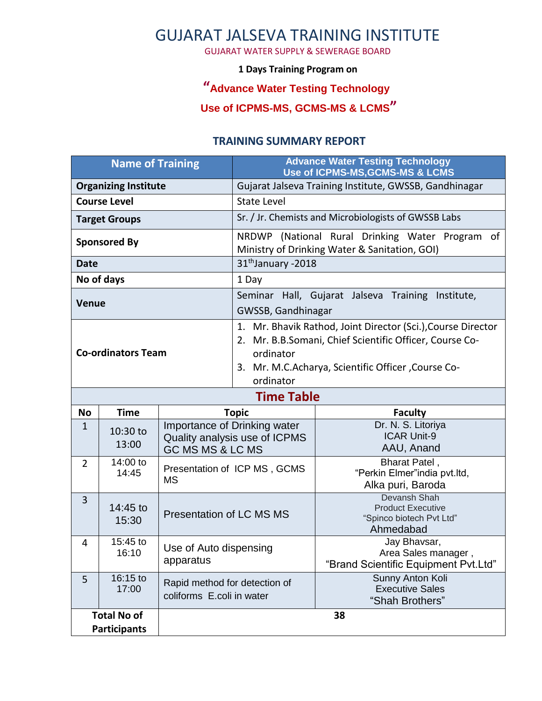# GUJARAT JALSEVA TRAINING INSTITUTE

GUJARAT WATER SUPPLY & SEWERAGE BOARD

#### **1 Days Training Program on**

## **"Advance Water Testing Technology**

### **Use of ICPMS-MS, GCMS-MS & LCMS"**

### **TRAINING SUMMARY REPORT**

| <b>Name of Training</b>                   |                     |                                                                                   | <b>Advance Water Testing Technology</b><br>Use of ICPMS-MS, GCMS-MS & LCMS                                                                                                                              |                                                                                   |
|-------------------------------------------|---------------------|-----------------------------------------------------------------------------------|---------------------------------------------------------------------------------------------------------------------------------------------------------------------------------------------------------|-----------------------------------------------------------------------------------|
| <b>Organizing Institute</b>               |                     |                                                                                   | Gujarat Jalseva Training Institute, GWSSB, Gandhinagar                                                                                                                                                  |                                                                                   |
| <b>Course Level</b>                       |                     |                                                                                   | <b>State Level</b>                                                                                                                                                                                      |                                                                                   |
| <b>Target Groups</b>                      |                     |                                                                                   | Sr. / Jr. Chemists and Microbiologists of GWSSB Labs                                                                                                                                                    |                                                                                   |
| <b>Sponsored By</b>                       |                     |                                                                                   | NRDWP (National Rural Drinking Water Program of<br>Ministry of Drinking Water & Sanitation, GOI)                                                                                                        |                                                                                   |
| <b>Date</b>                               |                     |                                                                                   | 31 <sup>th</sup> January -2018                                                                                                                                                                          |                                                                                   |
| No of days                                |                     |                                                                                   | 1 Day                                                                                                                                                                                                   |                                                                                   |
| <b>Venue</b>                              |                     |                                                                                   | Seminar Hall, Gujarat Jalseva Training Institute,<br>GWSSB, Gandhinagar                                                                                                                                 |                                                                                   |
| <b>Co-ordinators Team</b>                 |                     |                                                                                   | 1. Mr. Bhavik Rathod, Joint Director (Sci.), Course Director<br>2. Mr. B.B.Somani, Chief Scientific Officer, Course Co-<br>ordinator<br>3. Mr. M.C.Acharya, Scientific Officer, Course Co-<br>ordinator |                                                                                   |
| <b>Time Table</b>                         |                     |                                                                                   |                                                                                                                                                                                                         |                                                                                   |
| <b>No</b>                                 | <b>Time</b>         | <b>Topic</b>                                                                      |                                                                                                                                                                                                         | <b>Faculty</b>                                                                    |
| $\mathbf{1}$                              | 10:30 to<br>13:00   | Importance of Drinking water<br>Quality analysis use of ICPMS<br>GC MS MS & LC MS |                                                                                                                                                                                                         | Dr. N. S. Litoriya<br><b>ICAR Unit-9</b><br>AAU, Anand                            |
| $\overline{2}$                            | 14:00 to<br>14:45   | Presentation of ICP MS, GCMS<br><b>MS</b>                                         |                                                                                                                                                                                                         | Bharat Patel,<br>"Perkin Elmer"india pvt.ltd,<br>Alka puri, Baroda                |
| 3                                         | $14:45$ to<br>15:30 | <b>Presentation of LC MS MS</b>                                                   |                                                                                                                                                                                                         | Devansh Shah<br><b>Product Executive</b><br>"Spinco biotech Pvt Ltd"<br>Ahmedabad |
| 4                                         | 15:45 to<br>16:10   | Use of Auto dispensing<br>apparatus                                               |                                                                                                                                                                                                         | Jay Bhavsar,<br>Area Sales manager,<br>"Brand Scientific Equipment Pvt.Ltd"       |
| 5                                         | 16:15 to<br>17:00   | Rapid method for detection of<br>coliforms E.coli in water                        |                                                                                                                                                                                                         | Sunny Anton Koli<br><b>Executive Sales</b><br>"Shah Brothers"                     |
| <b>Total No of</b><br><b>Participants</b> |                     | 38                                                                                |                                                                                                                                                                                                         |                                                                                   |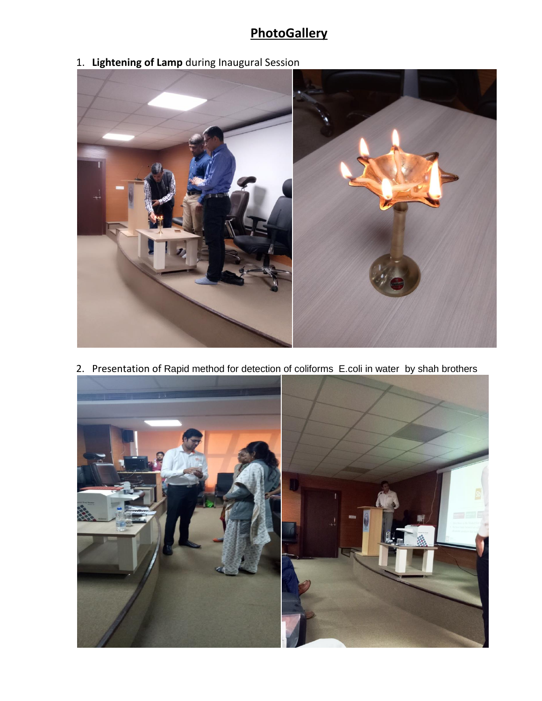# **PhotoGallery**

1. **Lightening of Lamp** during Inaugural Session



2. Presentation of Rapid method for detection of coliforms E.coli in water by shah brothers